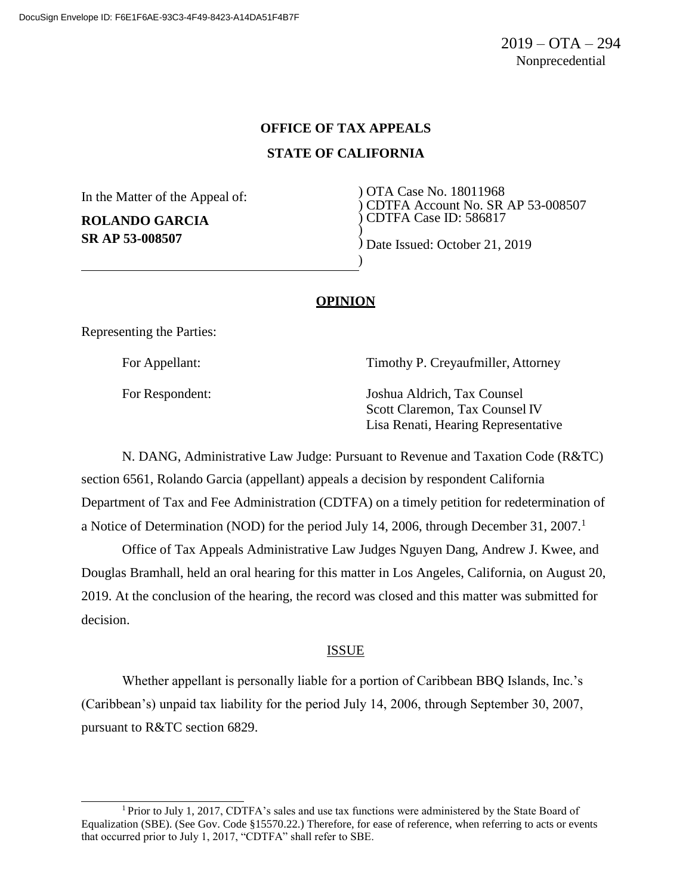### **OFFICE OF TAX APPEALS**

## **STATE OF CALIFORNIA**

)

)

In the Matter of the Appeal of:

**ROLANDO GARCIA SR AP 53-008507**

) OTA Case No. 18011968 ) CDTFA Account No. SR AP 53-008507 ) CDTFA Case ID: 586817

) Date Issued: October 21, 2019

# **OPINION**

Representing the Parties:

For Appellant: Timothy P. Creyaufmiller, Attorney

For Respondent: Joshua Aldrich, Tax Counsel Scott Claremon, Tax Counsel IV Lisa Renati, Hearing Representative

N. DANG, Administrative Law Judge: Pursuant to Revenue and Taxation Code (R&TC) section 6561, Rolando Garcia (appellant) appeals a decision by respondent California Department of Tax and Fee Administration (CDTFA) on a timely petition for redetermination of a Notice of Determination (NOD) for the period July 14, 2006, through December 31, 2007.<sup>1</sup>

Office of Tax Appeals Administrative Law Judges Nguyen Dang, Andrew J. Kwee, and Douglas Bramhall, held an oral hearing for this matter in Los Angeles, California, on August 20, 2019. At the conclusion of the hearing, the record was closed and this matter was submitted for decision.

#### **ISSUE**

Whether appellant is personally liable for a portion of Caribbean BBQ Islands, Inc.'s (Caribbean's) unpaid tax liability for the period July 14, 2006, through September 30, 2007, pursuant to R&TC section 6829.

<sup>&</sup>lt;sup>1</sup> Prior to July 1, 2017, CDTFA's sales and use tax functions were administered by the State Board of Equalization (SBE). (See Gov. Code §15570.22.) Therefore, for ease of reference, when referring to acts or events that occurred prior to July 1, 2017, "CDTFA" shall refer to SBE.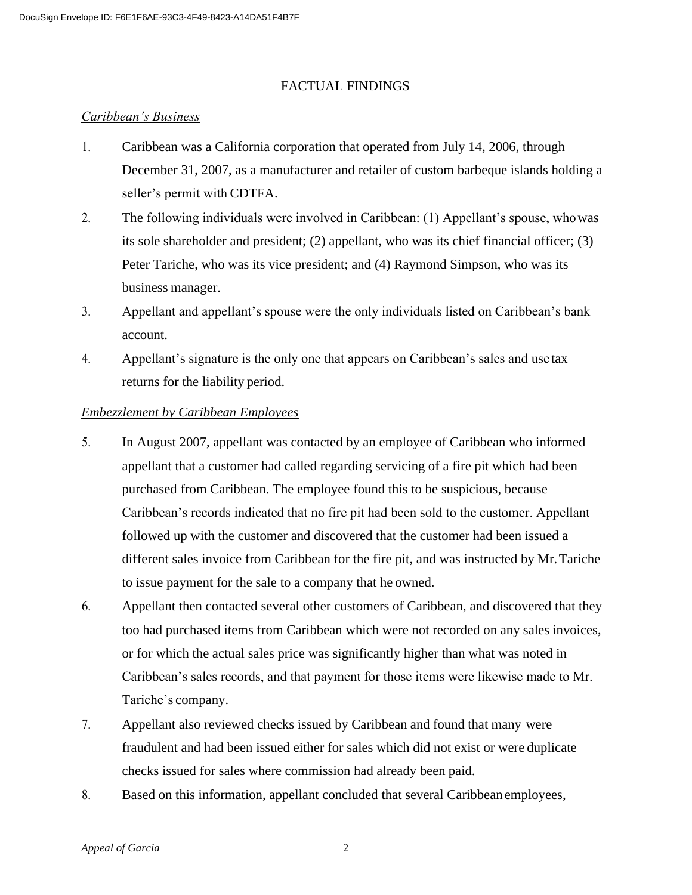## FACTUAL FINDINGS

## *Caribbean's Business*

- 1. Caribbean was a California corporation that operated from July 14, 2006, through December 31, 2007, as a manufacturer and retailer of custom barbeque islands holding a seller's permit with CDTFA.
- 2. The following individuals were involved in Caribbean: (1) Appellant's spouse, whowas its sole shareholder and president; (2) appellant, who was its chief financial officer; (3) Peter Tariche, who was its vice president; and (4) Raymond Simpson, who was its business manager.
- 3. Appellant and appellant's spouse were the only individuals listed on Caribbean's bank account.
- 4. Appellant's signature is the only one that appears on Caribbean's sales and use tax returns for the liability period.

## *Embezzlement by Caribbean Employees*

- 5. In August 2007, appellant was contacted by an employee of Caribbean who informed appellant that a customer had called regarding servicing of a fire pit which had been purchased from Caribbean. The employee found this to be suspicious, because Caribbean's records indicated that no fire pit had been sold to the customer. Appellant followed up with the customer and discovered that the customer had been issued a different sales invoice from Caribbean for the fire pit, and was instructed by Mr. Tariche to issue payment for the sale to a company that he owned.
- 6. Appellant then contacted several other customers of Caribbean, and discovered that they too had purchased items from Caribbean which were not recorded on any sales invoices, or for which the actual sales price was significantly higher than what was noted in Caribbean's sales records, and that payment for those items were likewise made to Mr. Tariche's company.
- 7. Appellant also reviewed checks issued by Caribbean and found that many were fraudulent and had been issued either for sales which did not exist or were duplicate checks issued for sales where commission had already been paid.
- 8. Based on this information, appellant concluded that several Caribbean employees,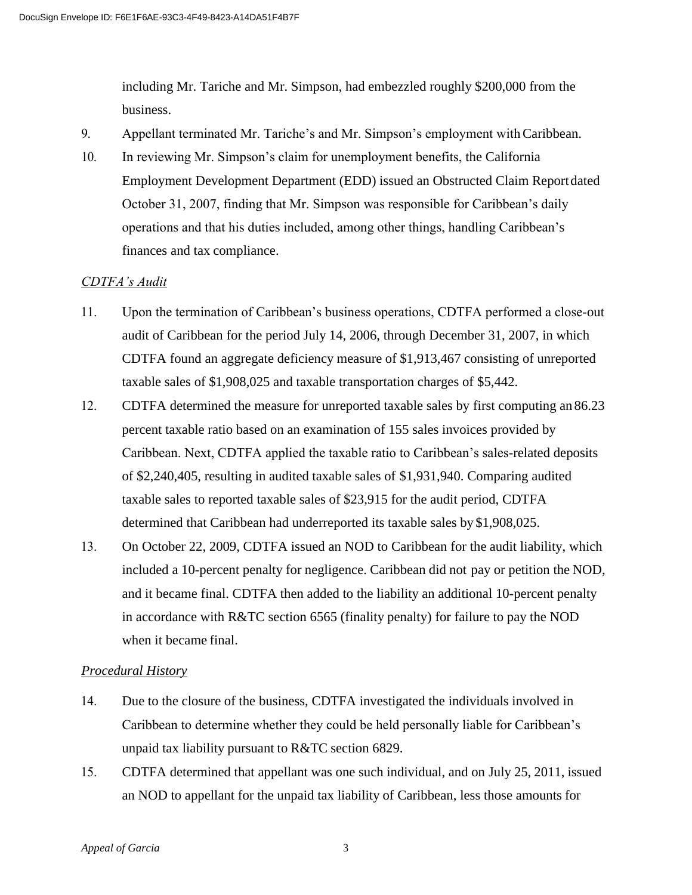including Mr. Tariche and Mr. Simpson, had embezzled roughly \$200,000 from the business.

- 9. Appellant terminated Mr. Tariche's and Mr. Simpson's employment withCaribbean.
- 10. In reviewing Mr. Simpson's claim for unemployment benefits, the California Employment Development Department (EDD) issued an Obstructed Claim Report dated October 31, 2007, finding that Mr. Simpson was responsible for Caribbean's daily operations and that his duties included, among other things, handling Caribbean's finances and tax compliance.

# *CDTFA's Audit*

- 11. Upon the termination of Caribbean's business operations, CDTFA performed a close-out audit of Caribbean for the period July 14, 2006, through December 31, 2007, in which CDTFA found an aggregate deficiency measure of \$1,913,467 consisting of unreported taxable sales of \$1,908,025 and taxable transportation charges of \$5,442.
- 12. CDTFA determined the measure for unreported taxable sales by first computing an 86.23 percent taxable ratio based on an examination of 155 sales invoices provided by Caribbean. Next, CDTFA applied the taxable ratio to Caribbean's sales-related deposits of \$2,240,405, resulting in audited taxable sales of \$1,931,940. Comparing audited taxable sales to reported taxable sales of \$23,915 for the audit period, CDTFA determined that Caribbean had underreported its taxable sales by \$1,908,025.
- 13. On October 22, 2009, CDTFA issued an NOD to Caribbean for the audit liability, which included a 10-percent penalty for negligence. Caribbean did not pay or petition the NOD, and it became final. CDTFA then added to the liability an additional 10-percent penalty in accordance with R&TC section 6565 (finality penalty) for failure to pay the NOD when it became final.

#### *Procedural History*

- 14. Due to the closure of the business, CDTFA investigated the individuals involved in Caribbean to determine whether they could be held personally liable for Caribbean's unpaid tax liability pursuant to R&TC section 6829.
- 15. CDTFA determined that appellant was one such individual, and on July 25, 2011, issued an NOD to appellant for the unpaid tax liability of Caribbean, less those amounts for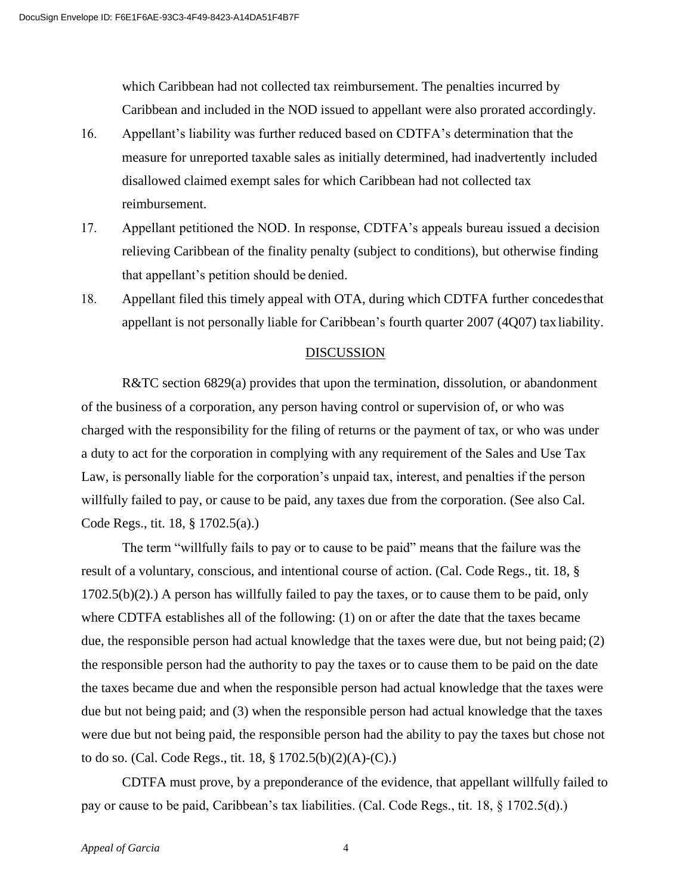which Caribbean had not collected tax reimbursement. The penalties incurred by Caribbean and included in the NOD issued to appellant were also prorated accordingly.

- 16. Appellant's liability was further reduced based on CDTFA's determination that the measure for unreported taxable sales as initially determined, had inadvertently included disallowed claimed exempt sales for which Caribbean had not collected tax reimbursement.
- 17. Appellant petitioned the NOD. In response, CDTFA's appeals bureau issued a decision relieving Caribbean of the finality penalty (subject to conditions), but otherwise finding that appellant's petition should be denied.
- 18. Appellant filed this timely appeal with OTA, during which CDTFA further concedes that appellant is not personally liable for Caribbean's fourth quarter 2007 (4Q07) tax liability.

#### DISCUSSION

R&TC section 6829(a) provides that upon the termination, dissolution, or abandonment of the business of a corporation, any person having control or supervision of, or who was charged with the responsibility for the filing of returns or the payment of tax, or who was under a duty to act for the corporation in complying with any requirement of the Sales and Use Tax Law, is personally liable for the corporation's unpaid tax, interest, and penalties if the person willfully failed to pay, or cause to be paid, any taxes due from the corporation. (See also Cal. Code Regs., tit. 18, § 1702.5(a).)

The term "willfully fails to pay or to cause to be paid" means that the failure was the result of a voluntary, conscious, and intentional course of action. (Cal. Code Regs., tit. 18, § 1702.5(b)(2).) A person has willfully failed to pay the taxes, or to cause them to be paid, only where CDTFA establishes all of the following: (1) on or after the date that the taxes became due, the responsible person had actual knowledge that the taxes were due, but not being paid; (2) the responsible person had the authority to pay the taxes or to cause them to be paid on the date the taxes became due and when the responsible person had actual knowledge that the taxes were due but not being paid; and (3) when the responsible person had actual knowledge that the taxes were due but not being paid, the responsible person had the ability to pay the taxes but chose not to do so. (Cal. Code Regs., tit. 18, § 1702.5(b)(2)(A)-(C).)

CDTFA must prove, by a preponderance of the evidence, that appellant willfully failed to pay or cause to be paid, Caribbean's tax liabilities. (Cal. Code Regs., tit. 18, § 1702.5(d).)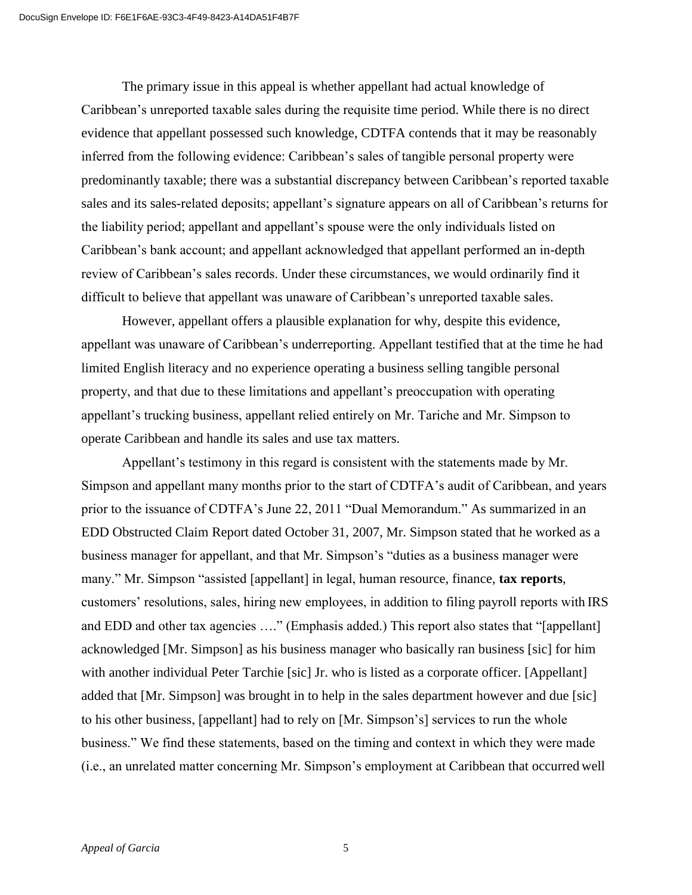The primary issue in this appeal is whether appellant had actual knowledge of Caribbean's unreported taxable sales during the requisite time period. While there is no direct evidence that appellant possessed such knowledge, CDTFA contends that it may be reasonably inferred from the following evidence: Caribbean's sales of tangible personal property were predominantly taxable; there was a substantial discrepancy between Caribbean's reported taxable sales and its sales-related deposits; appellant's signature appears on all of Caribbean's returns for the liability period; appellant and appellant's spouse were the only individuals listed on Caribbean's bank account; and appellant acknowledged that appellant performed an in-depth review of Caribbean's sales records. Under these circumstances, we would ordinarily find it difficult to believe that appellant was unaware of Caribbean's unreported taxable sales.

However, appellant offers a plausible explanation for why, despite this evidence, appellant was unaware of Caribbean's underreporting. Appellant testified that at the time he had limited English literacy and no experience operating a business selling tangible personal property, and that due to these limitations and appellant's preoccupation with operating appellant's trucking business, appellant relied entirely on Mr. Tariche and Mr. Simpson to operate Caribbean and handle its sales and use tax matters.

Appellant's testimony in this regard is consistent with the statements made by Mr. Simpson and appellant many months prior to the start of CDTFA's audit of Caribbean, and years prior to the issuance of CDTFA's June 22, 2011 "Dual Memorandum." As summarized in an EDD Obstructed Claim Report dated October 31, 2007, Mr. Simpson stated that he worked as a business manager for appellant, and that Mr. Simpson's "duties as a business manager were many." Mr. Simpson "assisted [appellant] in legal, human resource, finance, **tax reports**, customers' resolutions, sales, hiring new employees, in addition to filing payroll reports with IRS and EDD and other tax agencies ...." (Emphasis added.) This report also states that "[appellant] acknowledged [Mr. Simpson] as his business manager who basically ran business [sic] for him with another individual Peter Tarchie [sic] Jr. who is listed as a corporate officer. [Appellant] added that [Mr. Simpson] was brought in to help in the sales department however and due [sic] to his other business, [appellant] had to rely on [Mr. Simpson's] services to run the whole business." We find these statements, based on the timing and context in which they were made (i.e., an unrelated matter concerning Mr. Simpson's employment at Caribbean that occurred well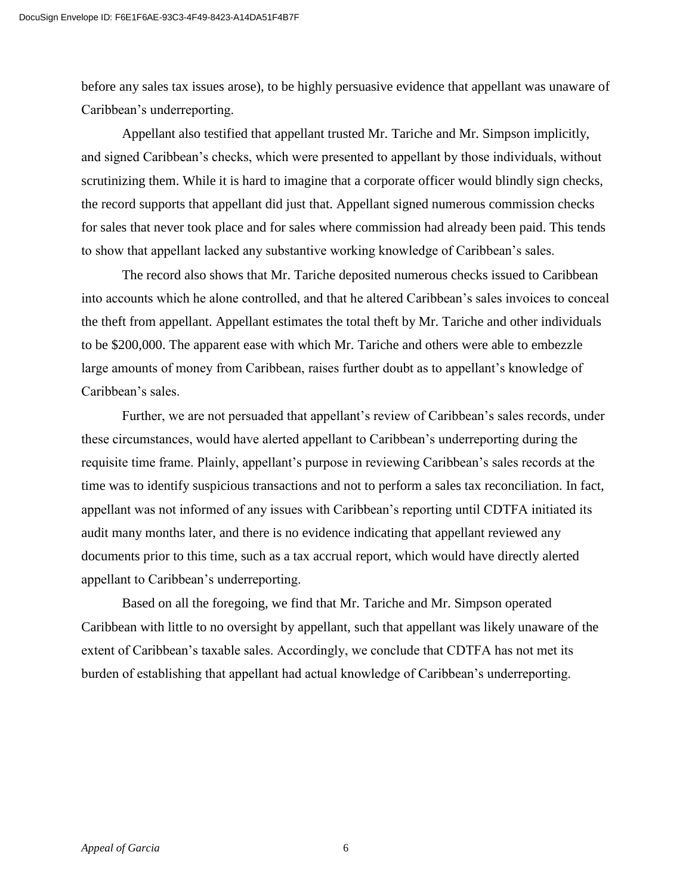before any sales tax issues arose), to be highly persuasive evidence that appellant was unaware of Caribbean's underreporting.

Appellant also testified that appellant trusted Mr. Tariche and Mr. Simpson implicitly, and signed Caribbean's checks, which were presented to appellant by those individuals, without scrutinizing them. While it is hard to imagine that a corporate officer would blindly sign checks, the record supports that appellant did just that. Appellant signed numerous commission checks for sales that never took place and for sales where commission had already been paid. This tends to show that appellant lacked any substantive working knowledge of Caribbean's sales.

The record also shows that Mr. Tariche deposited numerous checks issued to Caribbean into accounts which he alone controlled, and that he altered Caribbean's sales invoices to conceal the theft from appellant. Appellant estimates the total theft by Mr. Tariche and other individuals to be \$200,000. The apparent ease with which Mr. Tariche and others were able to embezzle large amounts of money from Caribbean, raises further doubt as to appellant's knowledge of Caribbean's sales.

Further, we are not persuaded that appellant's review of Caribbean's sales records, under these circumstances, would have alerted appellant to Caribbean's underreporting during the requisite time frame. Plainly, appellant's purpose in reviewing Caribbean's sales records at the time was to identify suspicious transactions and not to perform a sales tax reconciliation. In fact, appellant was not informed of any issues with Caribbean's reporting until CDTFA initiated its audit many months later, and there is no evidence indicating that appellant reviewed any documents prior to this time, such as a tax accrual report, which would have directly alerted appellant to Caribbean's underreporting.

Based on all the foregoing, we find that Mr. Tariche and Mr. Simpson operated Caribbean with little to no oversight by appellant, such that appellant was likely unaware of the extent of Caribbean's taxable sales. Accordingly, we conclude that CDTFA has not met its burden of establishing that appellant had actual knowledge of Caribbean's underreporting.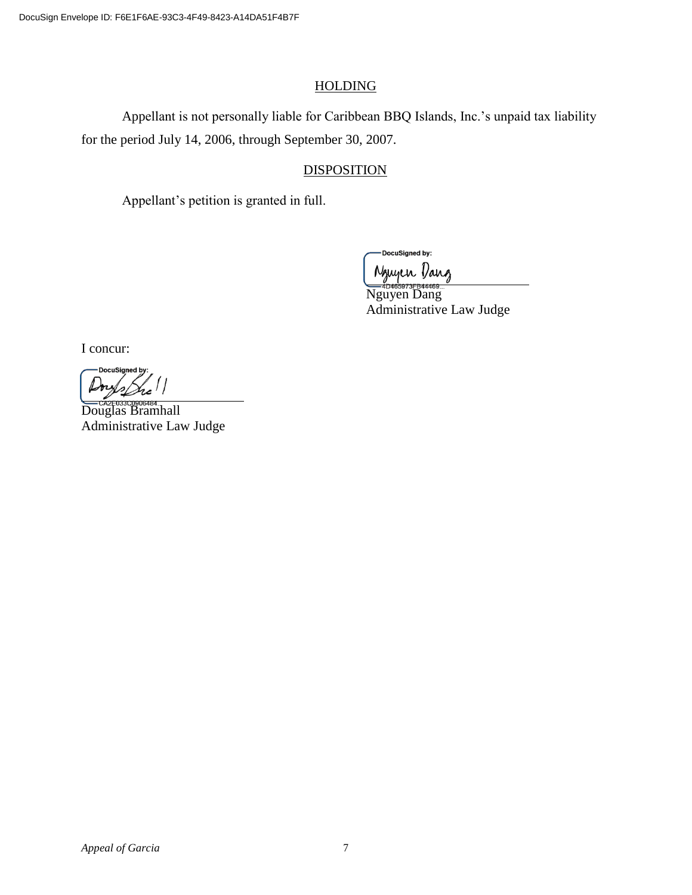# HOLDING

Appellant is not personally liable for Caribbean BBQ Islands, Inc.'s unpaid tax liability for the period July 14, 2006, through September 30, 2007.

# **DISPOSITION**

Appellant's petition is granted in full.

DocuSigned by:

Nguyen Dang <u>Conformation</u><br>Nguyen Dang Administrative Law Judge

I concur:

DocuSigned by

Douglas Bramhall Administrative Law Judge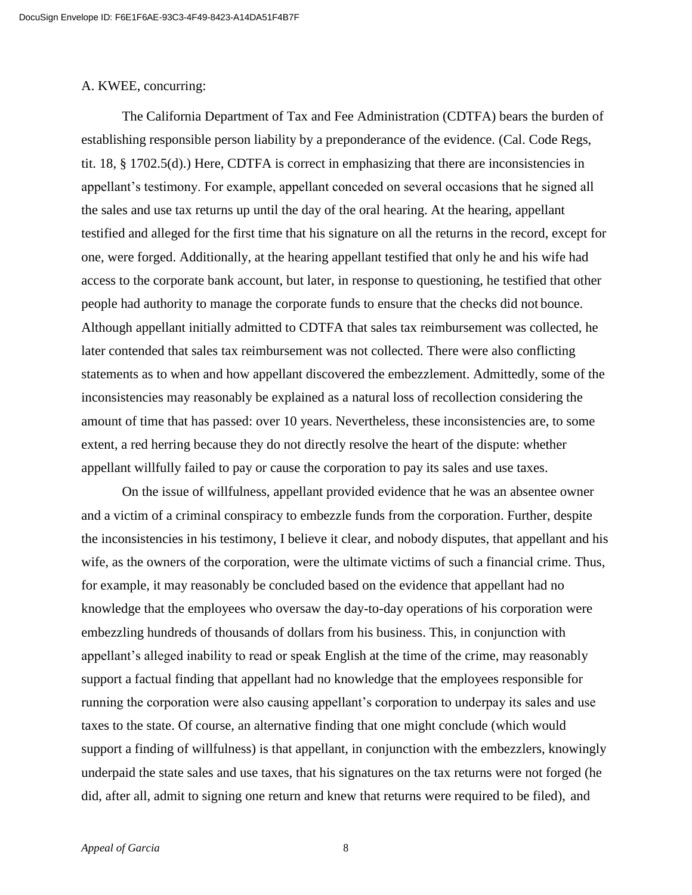#### A. KWEE, concurring:

The California Department of Tax and Fee Administration (CDTFA) bears the burden of establishing responsible person liability by a preponderance of the evidence. (Cal. Code Regs, tit. 18, § 1702.5(d).) Here, CDTFA is correct in emphasizing that there are inconsistencies in appellant's testimony. For example, appellant conceded on several occasions that he signed all the sales and use tax returns up until the day of the oral hearing. At the hearing, appellant testified and alleged for the first time that his signature on all the returns in the record, except for one, were forged. Additionally, at the hearing appellant testified that only he and his wife had access to the corporate bank account, but later, in response to questioning, he testified that other people had authority to manage the corporate funds to ensure that the checks did not bounce. Although appellant initially admitted to CDTFA that sales tax reimbursement was collected, he later contended that sales tax reimbursement was not collected. There were also conflicting statements as to when and how appellant discovered the embezzlement. Admittedly, some of the inconsistencies may reasonably be explained as a natural loss of recollection considering the amount of time that has passed: over 10 years. Nevertheless, these inconsistencies are, to some extent, a red herring because they do not directly resolve the heart of the dispute: whether appellant willfully failed to pay or cause the corporation to pay its sales and use taxes.

On the issue of willfulness, appellant provided evidence that he was an absentee owner and a victim of a criminal conspiracy to embezzle funds from the corporation. Further, despite the inconsistencies in his testimony, I believe it clear, and nobody disputes, that appellant and his wife, as the owners of the corporation, were the ultimate victims of such a financial crime. Thus, for example, it may reasonably be concluded based on the evidence that appellant had no knowledge that the employees who oversaw the day-to-day operations of his corporation were embezzling hundreds of thousands of dollars from his business. This, in conjunction with appellant's alleged inability to read or speak English at the time of the crime, may reasonably support a factual finding that appellant had no knowledge that the employees responsible for running the corporation were also causing appellant's corporation to underpay its sales and use taxes to the state. Of course, an alternative finding that one might conclude (which would support a finding of willfulness) is that appellant, in conjunction with the embezzlers, knowingly underpaid the state sales and use taxes, that his signatures on the tax returns were not forged (he did, after all, admit to signing one return and knew that returns were required to be filed), and